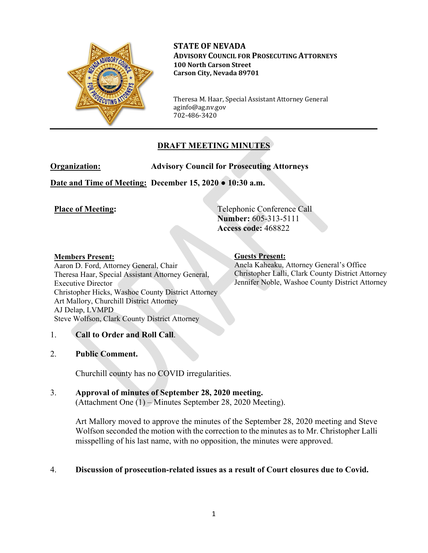

**STATE OF NEVADA ADVISORY COUNCIL FOR PROSECUTING ATTORNEYS 100 North Carson Street Carson City, Nevada 89701**

Theresa M. Haar, Special Assistant Attorney General aginfo@ag.nv.gov 702-486-3420

## **DRAFT MEETING MINUTES**

**Organization: Advisory Council for Prosecuting Attorneys** 

**Date and Time of Meeting: December 15, 2020 ● 10:30 a.m.**

**Place of Meeting:** Telephonic Conference Call **Number:** 605-313-5111 **Access code:** 468822

## **Members Present:**

Aaron D. Ford, Attorney General, Chair Theresa Haar, Special Assistant Attorney General, Executive Director Christopher Hicks, Washoe County District Attorney Art Mallory, Churchill District Attorney AJ Delap, LVMPD Steve Wolfson, Clark County District Attorney

**Guests Present:** 

Anela Kaheaku, Attorney General's Office Christopher Lalli, Clark County District Attorney Jennifer Noble, Washoe County District Attorney

## 1. **Call to Order and Roll Call**.

### 2. **Public Comment.**

Churchill county has no COVID irregularities.

# 3. **Approval of minutes of September 28, 2020 meeting.**

(Attachment One (1) – Minutes September 28, 2020 Meeting).

Art Mallory moved to approve the minutes of the September 28, 2020 meeting and Steve Wolfson seconded the motion with the correction to the minutes as to Mr. Christopher Lalli misspelling of his last name, with no opposition, the minutes were approved.

## 4. **Discussion of prosecution-related issues as a result of Court closures due to Covid.**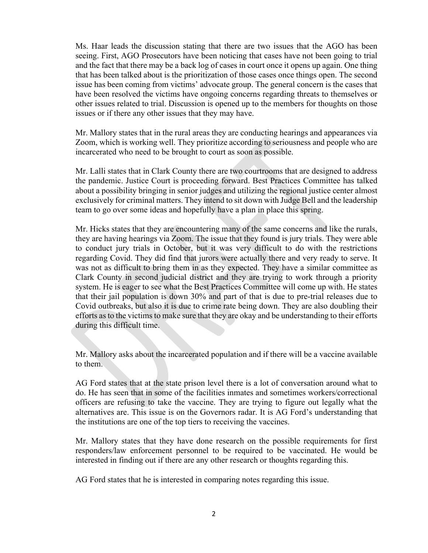Ms. Haar leads the discussion stating that there are two issues that the AGO has been seeing. First, AGO Prosecutors have been noticing that cases have not been going to trial and the fact that there may be a back log of cases in court once it opens up again. One thing that has been talked about is the prioritization of those cases once things open. The second issue has been coming from victims' advocate group. The general concern is the cases that have been resolved the victims have ongoing concerns regarding threats to themselves or other issues related to trial. Discussion is opened up to the members for thoughts on those issues or if there any other issues that they may have.

Mr. Mallory states that in the rural areas they are conducting hearings and appearances via Zoom, which is working well. They prioritize according to seriousness and people who are incarcerated who need to be brought to court as soon as possible.

Mr. Lalli states that in Clark County there are two courtrooms that are designed to address the pandemic. Justice Court is proceeding forward. Best Practices Committee has talked about a possibility bringing in senior judges and utilizing the regional justice center almost exclusively for criminal matters. They intend to sit down with Judge Bell and the leadership team to go over some ideas and hopefully have a plan in place this spring.

Mr. Hicks states that they are encountering many of the same concerns and like the rurals, they are having hearings via Zoom. The issue that they found is jury trials. They were able to conduct jury trials in October, but it was very difficult to do with the restrictions regarding Covid. They did find that jurors were actually there and very ready to serve. It was not as difficult to bring them in as they expected. They have a similar committee as Clark County in second judicial district and they are trying to work through a priority system. He is eager to see what the Best Practices Committee will come up with. He states that their jail population is down 30% and part of that is due to pre-trial releases due to Covid outbreaks, but also it is due to crime rate being down. They are also doubling their efforts as to the victims to make sure that they are okay and be understanding to their efforts during this difficult time.

Mr. Mallory asks about the incarcerated population and if there will be a vaccine available to them.

AG Ford states that at the state prison level there is a lot of conversation around what to do. He has seen that in some of the facilities inmates and sometimes workers/correctional officers are refusing to take the vaccine. They are trying to figure out legally what the alternatives are. This issue is on the Governors radar. It is AG Ford's understanding that the institutions are one of the top tiers to receiving the vaccines.

Mr. Mallory states that they have done research on the possible requirements for first responders/law enforcement personnel to be required to be vaccinated. He would be interested in finding out if there are any other research or thoughts regarding this.

AG Ford states that he is interested in comparing notes regarding this issue.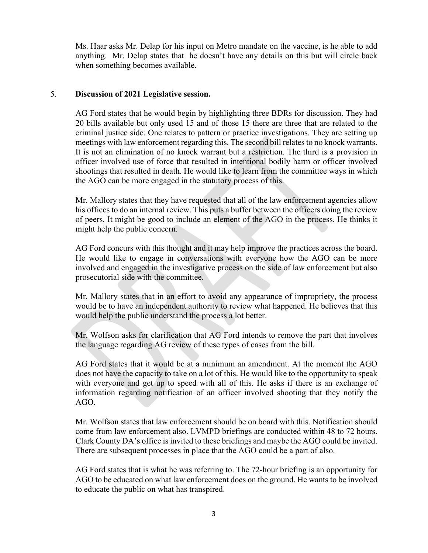Ms. Haar asks Mr. Delap for his input on Metro mandate on the vaccine, is he able to add anything. Mr. Delap states that he doesn't have any details on this but will circle back when something becomes available.

## 5. **Discussion of 2021 Legislative session.**

AG Ford states that he would begin by highlighting three BDRs for discussion. They had 20 bills available but only used 15 and of those 15 there are three that are related to the criminal justice side. One relates to pattern or practice investigations. They are setting up meetings with law enforcement regarding this. The second bill relates to no knock warrants. It is not an elimination of no knock warrant but a restriction. The third is a provision in officer involved use of force that resulted in intentional bodily harm or officer involved shootings that resulted in death. He would like to learn from the committee ways in which the AGO can be more engaged in the statutory process of this.

Mr. Mallory states that they have requested that all of the law enforcement agencies allow his offices to do an internal review. This puts a buffer between the officers doing the review of peers. It might be good to include an element of the AGO in the process. He thinks it might help the public concern.

AG Ford concurs with this thought and it may help improve the practices across the board. He would like to engage in conversations with everyone how the AGO can be more involved and engaged in the investigative process on the side of law enforcement but also prosecutorial side with the committee.

Mr. Mallory states that in an effort to avoid any appearance of impropriety, the process would be to have an independent authority to review what happened. He believes that this would help the public understand the process a lot better.

Mr. Wolfson asks for clarification that AG Ford intends to remove the part that involves the language regarding AG review of these types of cases from the bill.

AG Ford states that it would be at a minimum an amendment. At the moment the AGO does not have the capacity to take on a lot of this. He would like to the opportunity to speak with everyone and get up to speed with all of this. He asks if there is an exchange of information regarding notification of an officer involved shooting that they notify the AGO.

Mr. Wolfson states that law enforcement should be on board with this. Notification should come from law enforcement also. LVMPD briefings are conducted within 48 to 72 hours. Clark County DA's office is invited to these briefings and maybe the AGO could be invited. There are subsequent processes in place that the AGO could be a part of also.

AG Ford states that is what he was referring to. The 72-hour briefing is an opportunity for AGO to be educated on what law enforcement does on the ground. He wants to be involved to educate the public on what has transpired.